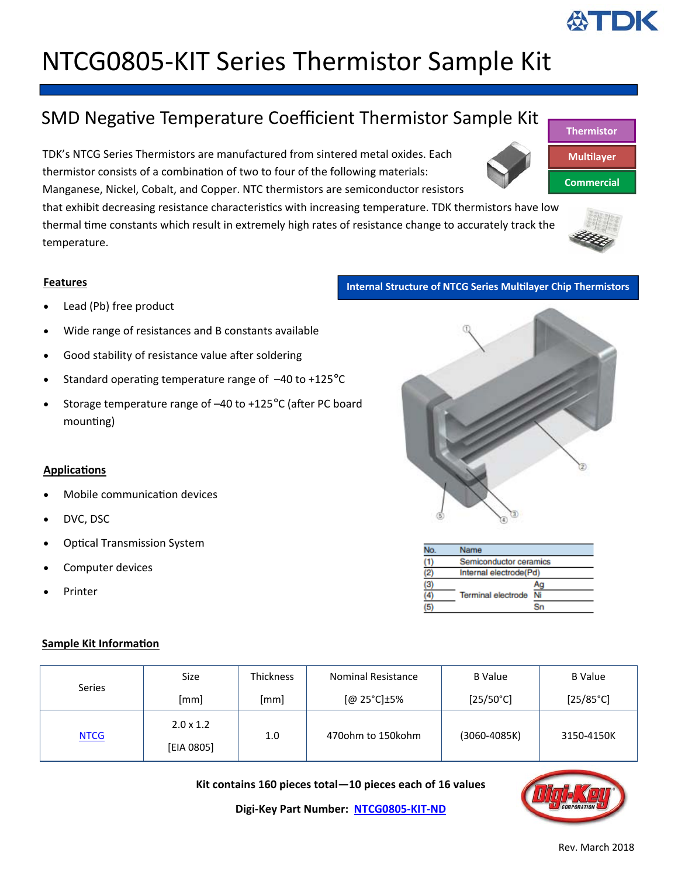# NTCG0805‐KIT Series Thermistor Sample Kit

### SMD Negative Temperature Coefficient Thermistor Sample Kit

TDK's NTCG Series Thermistors are manufactured from sintered metal oxides. Each thermistor consists of a combination of two to four of the following materials: Manganese, Nickel, Cobalt, and Copper. NTC thermistors are semiconductor resistors

that exhibit decreasing resistance characteristics with increasing temperature. TDK thermistors have low thermal time constants which result in extremely high rates of resistance change to accurately track the temperature.

#### **Features**

- Lead (Pb) free product
- Wide range of resistances and B constants available
- Good stability of resistance value after soldering
- Standard operating temperature range of  $-40$  to  $+125^{\circ}$ C
- Storage temperature range of -40 to +125°C (after PC board mounting)

#### **ApplicaƟons**

- Mobile communication devices
- DVC, DSC
- **Optical Transmission System**
- Computer devices
- Printer

#### **Sample Kit Information**

| <b>Series</b> | <b>Size</b>                    | Thickness | <b>Nominal Resistance</b> | <b>B</b> Value     | <b>B</b> Value     |
|---------------|--------------------------------|-----------|---------------------------|--------------------|--------------------|
|               | [mm]                           | [mm]      | $[@25°C] \pm 5\%$         | $[25/50^{\circ}C]$ | $[25/85^{\circ}C]$ |
| <b>NTCG</b>   | $2.0 \times 1.2$<br>[EIA 0805] | 1.0       | 470ohm to 150kohm         | (3060-4085K)       | 3150-4150K         |

**Kit contains 160 pieces total—10 pieces each of 16 values**

**Digi‐Key Part Number: [NTCG0805](https://www.digikey.com/products/en?keywords=ntcg0805-kit)‐KIT‐ND**







| No.            | Name                   |    |  |  |  |
|----------------|------------------------|----|--|--|--|
|                | Semiconductor ceramics |    |  |  |  |
| $\overline{2}$ | Internal electrode(Pd) |    |  |  |  |
| (3)            |                        | Ac |  |  |  |
|                | Terminal electrode     | Ni |  |  |  |
|                |                        |    |  |  |  |